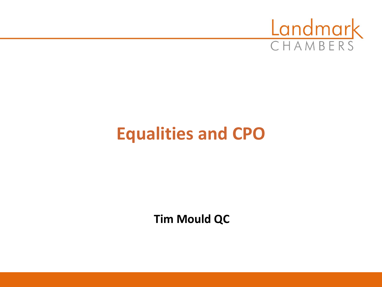

## **Equalities and CPO**

**Tim Mould QC**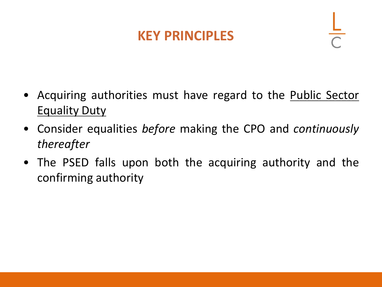#### **KEY PRINCIPLES**

- Acquiring authorities must have regard to the **Public Sector Equality Duty**
- Consider equalities *before* making the CPO and *continuously thereafter*
- The PSED falls upon both the acquiring authority and the confirming authority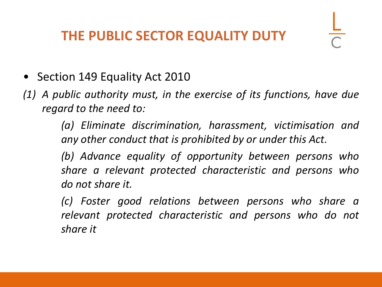#### **THE PUBLIC SECTOR EQUALITY DUTY**

- Section 149 Equality Act 2010
- *(1) A public authority must, in the exercise of its functions, have due regard to the need to:*

*(a) Eliminate discrimination, harassment, victimisation and any other conduct that is prohibited by or under this Act.*

*(b) Advance equality of opportunity between persons who share a relevant protected characteristic and persons who do not share it.*

*(c) Foster good relations between persons who share a relevant protected characteristic and persons who do not share it*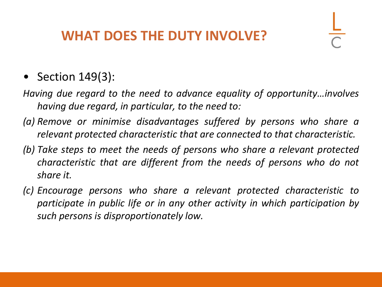#### **WHAT DOES THE DUTY INVOLVE?**

#### • Section 149(3):

- *Having due regard to the need to advance equality of opportunity…involves having due regard, in particular, to the need to:*
- *(a) Remove or minimise disadvantages suffered by persons who share a relevant protected characteristic that are connected to that characteristic.*
- *(b) Take steps to meet the needs of persons who share a relevant protected characteristic that are different from the needs of persons who do not share it.*
- *(c) Encourage persons who share a relevant protected characteristic to participate in public life or in any other activity in which participation by such persons is disproportionately low.*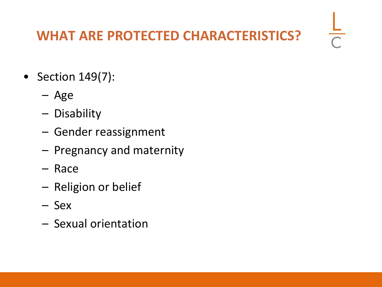#### **WHAT ARE PROTECTED CHARACTERISTICS?**

 $\frac{1}{\sqrt{2}}$ 

- Section 149(7):
	- Age
	- Disability
	- Gender reassignment
	- Pregnancy and maternity
	- Race
	- Religion or belief
	- Sex
	- Sexual orientation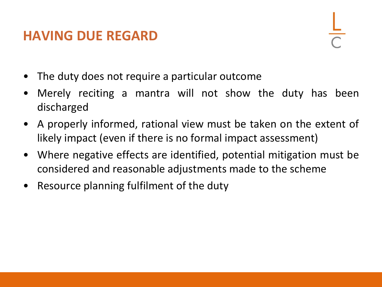#### **HAVING DUE REGARD**



- The duty does not require a particular outcome
- Merely reciting a mantra will not show the duty has been discharged
- A properly informed, rational view must be taken on the extent of likely impact (even if there is no formal impact assessment)
- Where negative effects are identified, potential mitigation must be considered and reasonable adjustments made to the scheme
- Resource planning fulfilment of the duty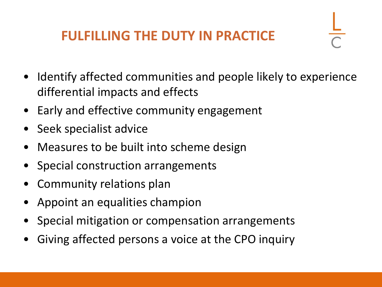#### **FULFILLING THE DUTY IN PRACTICE**

- Identify affected communities and people likely to experience differential impacts and effects
- Early and effective community engagement
- Seek specialist advice
- Measures to be built into scheme design
- Special construction arrangements
- Community relations plan
- Appoint an equalities champion
- Special mitigation or compensation arrangements
- Giving affected persons a voice at the CPO inquiry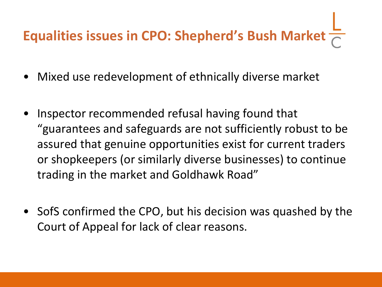# **Equalities issues in CPO: Shepherd's Bush Market**

- Mixed use redevelopment of ethnically diverse market
- Inspector recommended refusal having found that "guarantees and safeguards are not sufficiently robust to be assured that genuine opportunities exist for current traders or shopkeepers (or similarly diverse businesses) to continue trading in the market and Goldhawk Road"
- SofS confirmed the CPO, but his decision was quashed by the Court of Appeal for lack of clear reasons.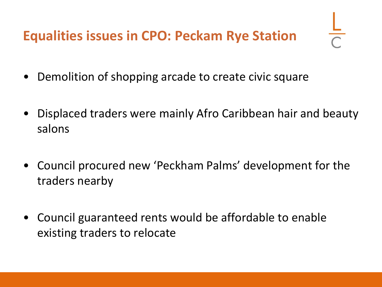- Demolition of shopping arcade to create civic square
- Displaced traders were mainly Afro Caribbean hair and beauty salons
- Council procured new 'Peckham Palms' development for the traders nearby
- Council guaranteed rents would be affordable to enable existing traders to relocate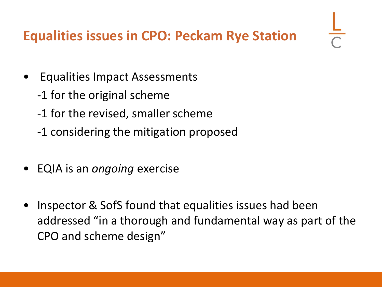### **Equalities issues in CPO: Peckam Rye Station**

- Equalities Impact Assessments
	- -1 for the original scheme
	- -1 for the revised, smaller scheme
	- -1 considering the mitigation proposed
- EQIA is an *ongoing* exercise
- Inspector & SofS found that equalities issues had been addressed "in a thorough and fundamental way as part of the CPO and scheme design"